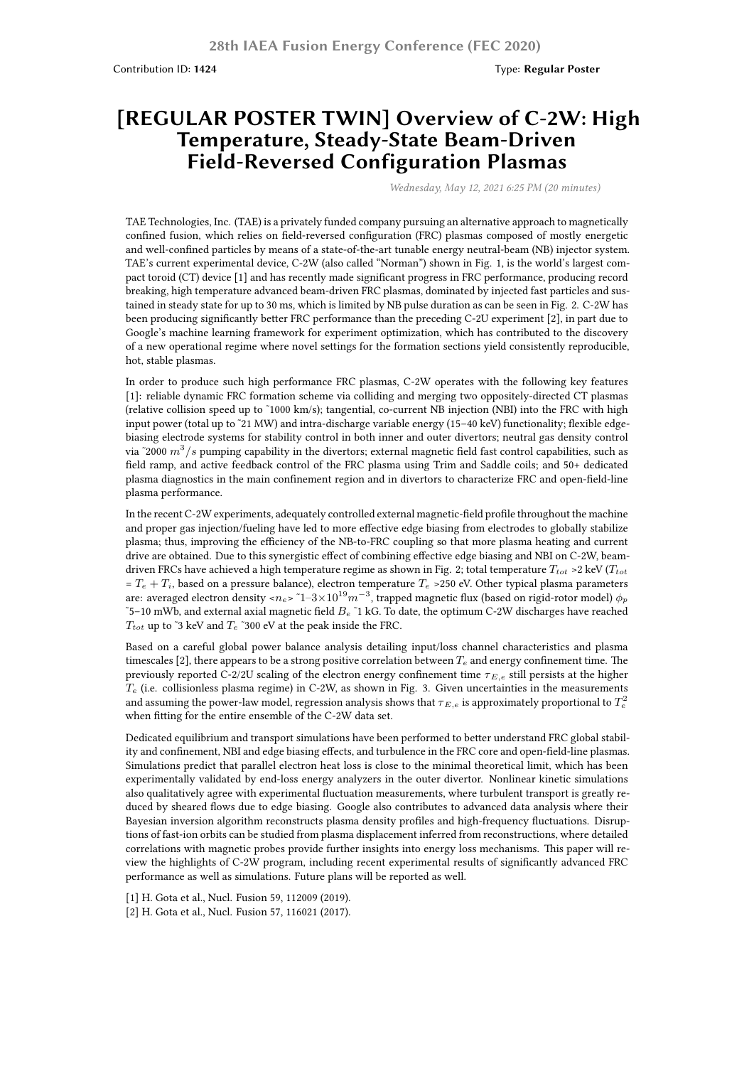Contribution ID: **1424** Type: **Regular Poster**

## **[REGULAR POSTER TWIN] Overview of C-2W: High Temperature, Steady-State Beam-Driven Field-Reversed Configuration Plasmas**

*Wednesday, May 12, 2021 6:25 PM (20 minutes)*

TAE Technologies, Inc. (TAE) is a privately funded company pursuing an alternative approach to magnetically confined fusion, which relies on field-reversed configuration (FRC) plasmas composed of mostly energetic and well-confined particles by means of a state-of-the-art tunable energy neutral-beam (NB) injector system. TAE's current experimental device, C-2W (also called "Norman") shown in Fig. 1, is the world's largest compact toroid (CT) device [1] and has recently made significant progress in FRC performance, producing record breaking, high temperature advanced beam-driven FRC plasmas, dominated by injected fast particles and sustained in steady state for up to 30 ms, which is limited by NB pulse duration as can be seen in Fig. 2. C-2W has been producing significantly better FRC performance than the preceding C-2U experiment [2], in part due to Google's machine learning framework for experiment optimization, which has contributed to the discovery of a new operational regime where novel settings for the formation sections yield consistently reproducible, hot, stable plasmas.

In order to produce such high performance FRC plasmas, C-2W operates with the following key features [1]: reliable dynamic FRC formation scheme via colliding and merging two oppositely-directed CT plasmas (relative collision speed up to ˜1000 km/s); tangential, co-current NB injection (NBI) into the FRC with high input power (total up to ~21 MW) and intra-discharge variable energy (15–40 keV) functionality; flexible edgebiasing electrode systems for stability control in both inner and outer divertors; neutral gas density control via ˜2000 *m*<sup>3</sup> /*s* pumping capability in the divertors; external magnetic field fast control capabilities, such as field ramp, and active feedback control of the FRC plasma using Trim and Saddle coils; and 50+ dedicated plasma diagnostics in the main confinement region and in divertors to characterize FRC and open-field-line plasma performance.

In the recent C-2W experiments, adequately controlled external magnetic-field profile throughout the machine and proper gas injection/fueling have led to more effective edge biasing from electrodes to globally stabilize plasma; thus, improving the efficiency of the NB-to-FRC coupling so that more plasma heating and current drive are obtained. Due to this synergistic effect of combining effective edge biasing and NBI on C-2W, beamdriven FRCs have achieved a high temperature regime as shown in Fig. 2; total temperature *Ttot* >2 keV (*Ttot*  $T_e + T_i$ , based on a pressure balance), electron temperature  $T_e > 250$  eV. Other typical plasma parameters are: averaged electron density <*ne*> ˜1–3×10<sup>19</sup>*m−*<sup>3</sup> , trapped magnetic flux (based on rigid-rotor model) *ϕ<sup>p</sup>* ˜5–10 mWb, and external axial magnetic field *B<sup>e</sup>* ˜1 kG. To date, the optimum C-2W discharges have reached  $T_{tot}$  up to ~3 keV and  $T_e$  ~300 eV at the peak inside the FRC.

Based on a careful global power balance analysis detailing input/loss channel characteristics and plasma timescales [2], there appears to be a strong positive correlation between  $T_e$  and energy confinement time. The previously reported C-2/2U scaling of the electron energy confinement time *τ E,e* still persists at the higher  $T_e$  (i.e. collisionless plasma regime) in C-2W, as shown in Fig. 3. Given uncertainties in the measurements and assuming the power-law model, regression analysis shows that  $\tau_{E,e}$  is approximately proportional to  $T_e^2$ when fitting for the entire ensemble of the C-2W data set.

Dedicated equilibrium and transport simulations have been performed to better understand FRC global stability and confinement, NBI and edge biasing effects, and turbulence in the FRC core and open-field-line plasmas. Simulations predict that parallel electron heat loss is close to the minimal theoretical limit, which has been experimentally validated by end-loss energy analyzers in the outer divertor. Nonlinear kinetic simulations also qualitatively agree with experimental fluctuation measurements, where turbulent transport is greatly reduced by sheared flows due to edge biasing. Google also contributes to advanced data analysis where their Bayesian inversion algorithm reconstructs plasma density profiles and high-frequency fluctuations. Disruptions of fast-ion orbits can be studied from plasma displacement inferred from reconstructions, where detailed correlations with magnetic probes provide further insights into energy loss mechanisms. This paper will review the highlights of C-2W program, including recent experimental results of significantly advanced FRC performance as well as simulations. Future plans will be reported as well.

[1] H. Gota et al., Nucl. Fusion 59, 112009 (2019).

[2] H. Gota et al., Nucl. Fusion 57, 116021 (2017).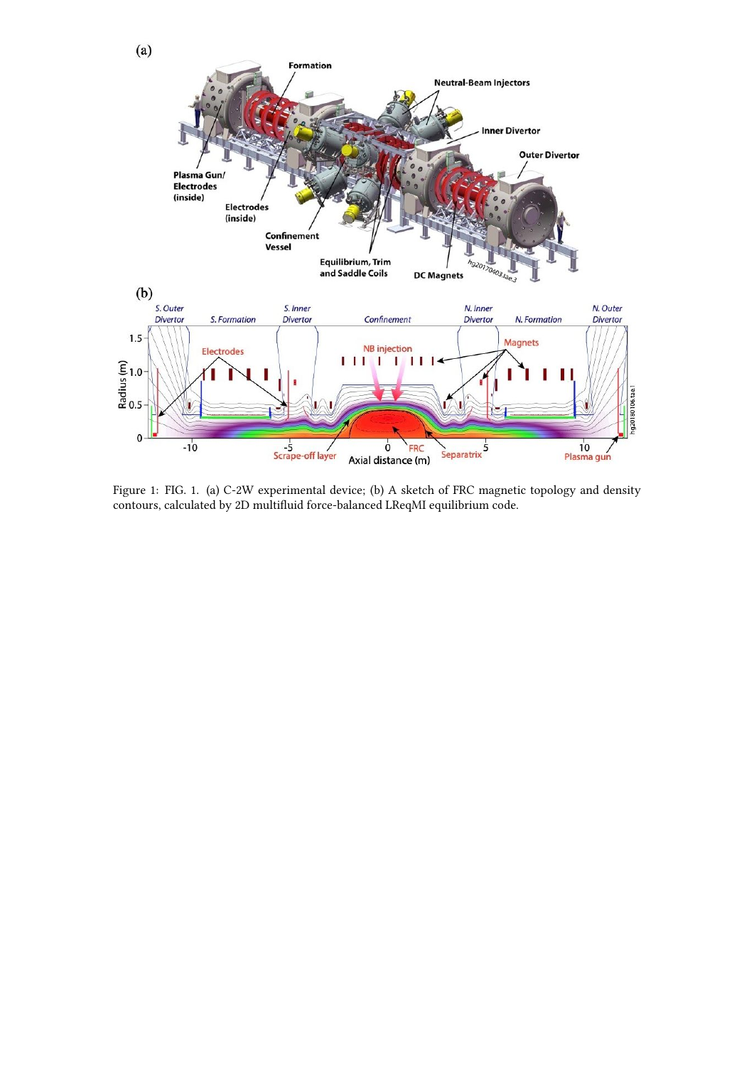

Figure 1: FIG. 1. (a) C-2W experimental device; (b) A sketch of FRC magnetic topology and density contours, calculated by 2D multifluid force-balanced LReqMI equilibrium code.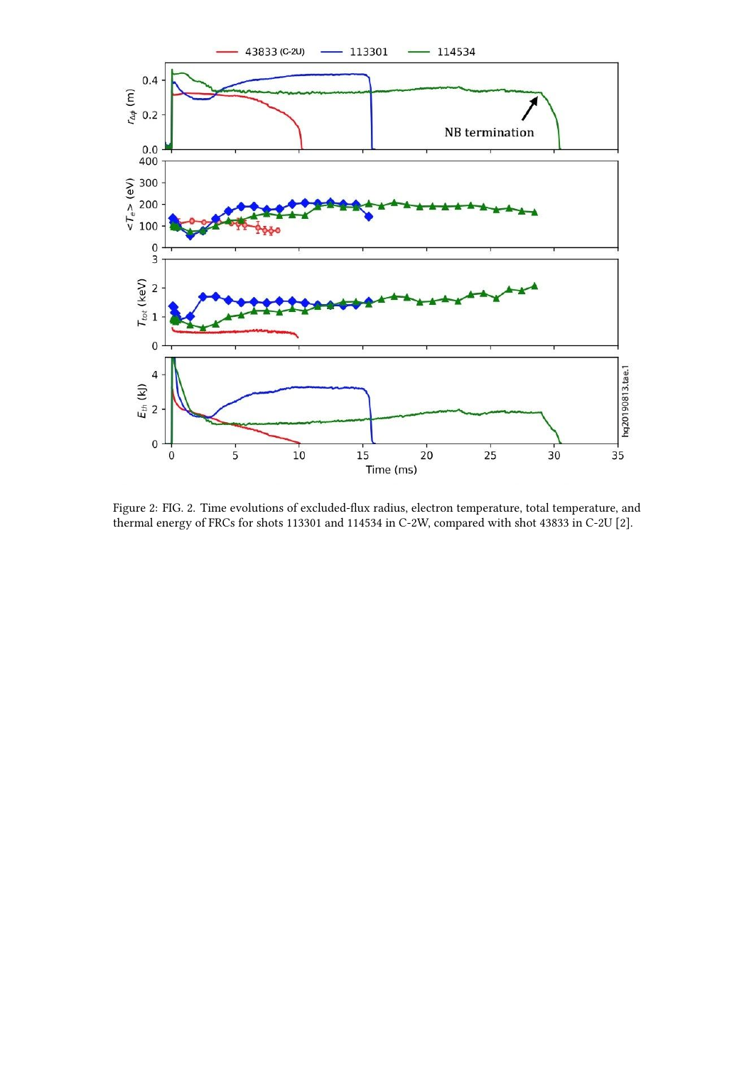

Figure 2: FIG. 2. Time evolutions of excluded-flux radius, electron temperature, total temperature, and thermal energy of FRCs for shots 113301 and 114534 in C-2W, compared with shot 43833 in C-2U [2].